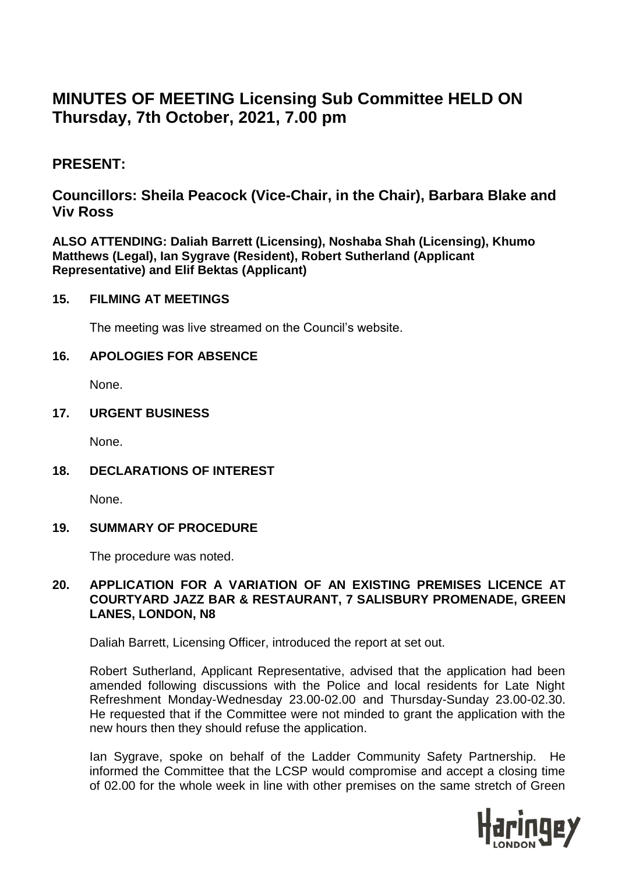# **MINUTES OF MEETING Licensing Sub Committee HELD ON Thursday, 7th October, 2021, 7.00 pm**

# **PRESENT:**

# **Councillors: Sheila Peacock (Vice-Chair, in the Chair), Barbara Blake and Viv Ross**

**ALSO ATTENDING: Daliah Barrett (Licensing), Noshaba Shah (Licensing), Khumo Matthews (Legal), Ian Sygrave (Resident), Robert Sutherland (Applicant Representative) and Elif Bektas (Applicant)** 

#### **15. FILMING AT MEETINGS**

The meeting was live streamed on the Council's website.

# **16. APOLOGIES FOR ABSENCE**

None.

#### **17. URGENT BUSINESS**

None.

# **18. DECLARATIONS OF INTEREST**

None.

# **19. SUMMARY OF PROCEDURE**

The procedure was noted.

# **20. APPLICATION FOR A VARIATION OF AN EXISTING PREMISES LICENCE AT COURTYARD JAZZ BAR & RESTAURANT, 7 SALISBURY PROMENADE, GREEN LANES, LONDON, N8**

Daliah Barrett, Licensing Officer, introduced the report at set out.

Robert Sutherland, Applicant Representative, advised that the application had been amended following discussions with the Police and local residents for Late Night Refreshment Monday-Wednesday 23.00-02.00 and Thursday-Sunday 23.00-02.30. He requested that if the Committee were not minded to grant the application with the new hours then they should refuse the application.

Ian Sygrave, spoke on behalf of the Ladder Community Safety Partnership. He informed the Committee that the LCSP would compromise and accept a closing time of 02.00 for the whole week in line with other premises on the same stretch of Green

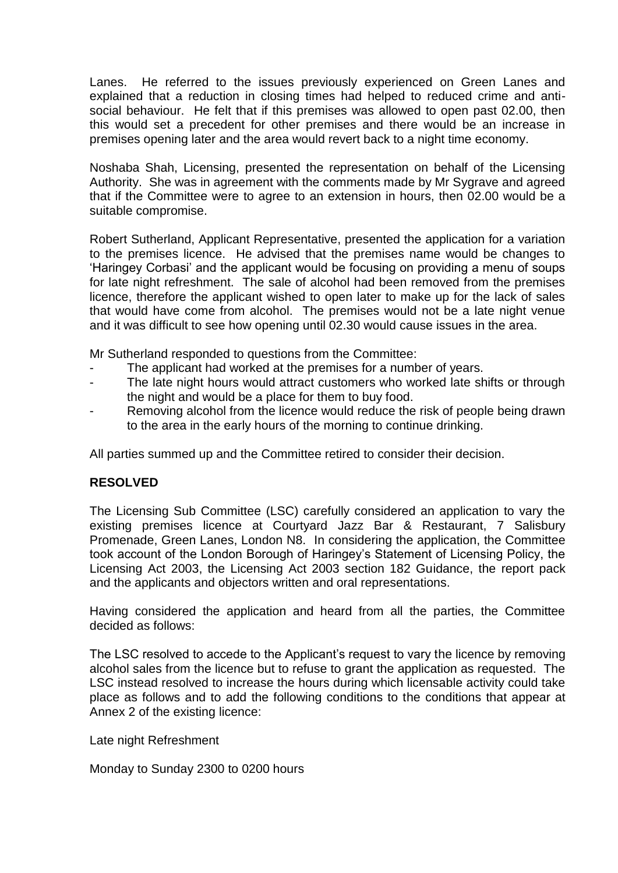Lanes. He referred to the issues previously experienced on Green Lanes and explained that a reduction in closing times had helped to reduced crime and antisocial behaviour. He felt that if this premises was allowed to open past 02.00, then this would set a precedent for other premises and there would be an increase in premises opening later and the area would revert back to a night time economy.

Noshaba Shah, Licensing, presented the representation on behalf of the Licensing Authority. She was in agreement with the comments made by Mr Sygrave and agreed that if the Committee were to agree to an extension in hours, then 02.00 would be a suitable compromise.

Robert Sutherland, Applicant Representative, presented the application for a variation to the premises licence. He advised that the premises name would be changes to 'Haringey Corbasi' and the applicant would be focusing on providing a menu of soups for late night refreshment. The sale of alcohol had been removed from the premises licence, therefore the applicant wished to open later to make up for the lack of sales that would have come from alcohol. The premises would not be a late night venue and it was difficult to see how opening until 02.30 would cause issues in the area.

Mr Sutherland responded to questions from the Committee:

- The applicant had worked at the premises for a number of years.
- The late night hours would attract customers who worked late shifts or through the night and would be a place for them to buy food.
- Removing alcohol from the licence would reduce the risk of people being drawn to the area in the early hours of the morning to continue drinking.

All parties summed up and the Committee retired to consider their decision.

# **RESOLVED**

The Licensing Sub Committee (LSC) carefully considered an application to vary the existing premises licence at Courtyard Jazz Bar & Restaurant, 7 Salisbury Promenade, Green Lanes, London N8. In considering the application, the Committee took account of the London Borough of Haringey's Statement of Licensing Policy, the Licensing Act 2003, the Licensing Act 2003 section 182 Guidance, the report pack and the applicants and objectors written and oral representations.

Having considered the application and heard from all the parties, the Committee decided as follows:

The LSC resolved to accede to the Applicant's request to vary the licence by removing alcohol sales from the licence but to refuse to grant the application as requested. The LSC instead resolved to increase the hours during which licensable activity could take place as follows and to add the following conditions to the conditions that appear at Annex 2 of the existing licence:

Late night Refreshment

Monday to Sunday 2300 to 0200 hours